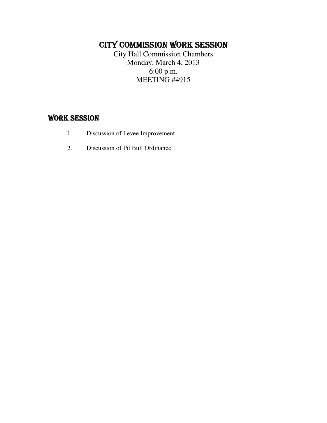# CITY COMMISSION WORK SESSION

City Hall Commission Chambers Monday, March 4, 2013 6:00 p.m. MEETING #4915

## WORK SESSION

- 1. Discussion of Levee Improvement
- 2. Discussion of Pit Bull Ordinance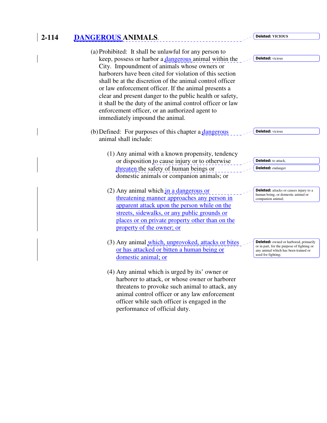# **2-114 DANGEROUS ANIMALS**.

| (a) Prohibited: It shall be unlawful for any person to<br>keep, possess or harbor a dangerous animal within the<br>City. Impoundment of animals whose owners or<br>harborers have been cited for violation of this section<br>shall be at the discretion of the animal control officer<br>or law enforcement officer. If the animal presents a<br>clear and present danger to the public health or safety,<br>it shall be the duty of the animal control officer or law<br>enforcement officer, or an authorized agent to<br>immediately impound the animal. | <b>Deleted:</b> vicious                                                                                  |
|--------------------------------------------------------------------------------------------------------------------------------------------------------------------------------------------------------------------------------------------------------------------------------------------------------------------------------------------------------------------------------------------------------------------------------------------------------------------------------------------------------------------------------------------------------------|----------------------------------------------------------------------------------------------------------|
| (b) Defined: For purposes of this chapter a <i>dangerous</i>                                                                                                                                                                                                                                                                                                                                                                                                                                                                                                 | <b>Deleted:</b> vicious                                                                                  |
| animal shall include:<br>(1) Any animal with a known propensity, tendency                                                                                                                                                                                                                                                                                                                                                                                                                                                                                    |                                                                                                          |
| or disposition to cause injury or to otherwise                                                                                                                                                                                                                                                                                                                                                                                                                                                                                                               | <b>Deleted:</b> to attack,                                                                               |
| threaten the safety of human beings or                                                                                                                                                                                                                                                                                                                                                                                                                                                                                                                       | <b>Deleted:</b> endanger                                                                                 |
| domestic animals or companion animals; or                                                                                                                                                                                                                                                                                                                                                                                                                                                                                                                    |                                                                                                          |
| $(2)$ Any animal which in a dangerous or                                                                                                                                                                                                                                                                                                                                                                                                                                                                                                                     | <b>Deleted:</b> attacks or causes injury to a<br>human being, or domestic animal or<br>companion animal; |
| threatening manner approaches any person in                                                                                                                                                                                                                                                                                                                                                                                                                                                                                                                  |                                                                                                          |
| apparent attack upon the person while on the                                                                                                                                                                                                                                                                                                                                                                                                                                                                                                                 |                                                                                                          |
| streets, sidewalks, or any public grounds or                                                                                                                                                                                                                                                                                                                                                                                                                                                                                                                 |                                                                                                          |
| places or on private property other than on the                                                                                                                                                                                                                                                                                                                                                                                                                                                                                                              |                                                                                                          |
| property of the owner; or                                                                                                                                                                                                                                                                                                                                                                                                                                                                                                                                    |                                                                                                          |
| (3) Any animal <i>which</i> , <i>unprovoked</i> , <i>attacks</i> or bites                                                                                                                                                                                                                                                                                                                                                                                                                                                                                    | <b>Deleted:</b> owned or harbored, primarily                                                             |
| or has attacked or bitten a human being or                                                                                                                                                                                                                                                                                                                                                                                                                                                                                                                   | or in part, for the purpose of fighting or<br>any animal which has been trained or                       |
| domestic animal; or                                                                                                                                                                                                                                                                                                                                                                                                                                                                                                                                          | used for fighting;                                                                                       |
| (4) Any animal which is urged by its' owner or                                                                                                                                                                                                                                                                                                                                                                                                                                                                                                               |                                                                                                          |
| harborer to attack, or whose owner or harborer                                                                                                                                                                                                                                                                                                                                                                                                                                                                                                               |                                                                                                          |
| threatens to provoke such animal to attack, any                                                                                                                                                                                                                                                                                                                                                                                                                                                                                                              |                                                                                                          |
| animal control officer or any law enforcement                                                                                                                                                                                                                                                                                                                                                                                                                                                                                                                |                                                                                                          |

Deleted: **VICIOUS** 

officer while such officer is engaged in the

performance of official duty.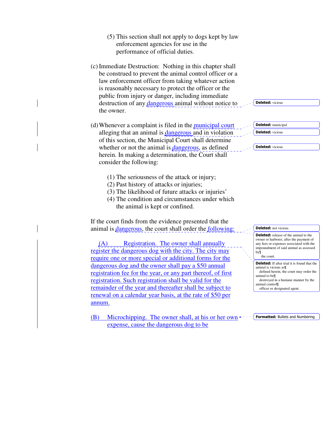- (5) This section shall not apply to dogs kept by law enforcement agencies for use in the performance of official duties.
- (c) Immediate Destruction: Nothing in this chapter shall be construed to prevent the animal control officer or a law enforcement officer from taking whatever action is reasonably necessary to protect the officer or the public from injury or danger, including immediate destruction of any dangerous animal without notice to the owner.
- (d)Whenever a complaint is filed in the municipal court alleging that an animal is *dangerous* and in violation of this section, the Municipal Court shall determine whether or not the animal is dangerous, as defined herein. In making a determination, the Court shall consider the following:
	- (1) The seriousness of the attack or injury;
	- (2) Past history of attacks or injuries;
	- (3) The likelihood of future attacks or injuries'
	- (4) The condition and circumstances under which the animal is kept or confined.

If the court finds from the evidence presented that the animal is *dangerous*, the court shall order the *following*:

 (A) Registration. The owner shall annually register the dangerous dog with the city. The city may require one or more special or additional forms for the dangerous dog and the owner shall pay a \$50 annual registration fee for the year, or any part thereof, of first registration. Such registration shall be valid for the remainder of the year and thereafter shall be subject to renewal on a calendar year basis, at the rate of \$50 per annum.

(B) Microchipping. The owner shall, at his or her own expense, cause the dangerous dog to be

Deleted: municipal Deleted: vicious Deleted: vicious

Deleted: vicious

Deleted: release of the animal to the owner or harborer, after the payment of any fees or expenses associated with the impoundment of said animal as assessed by¶ the court. **Deleted:** If after trial it is found that the animal is vicious as¶ defined herein, the court may order the animal to be¶ destroyed in a humane manner by the animal control¶

officer or designated agent.

Deleted: not vicious

**Formatted: Bullets and Numbering**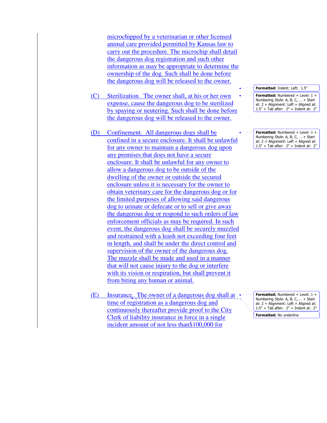microchipped by a veterinarian or other licensed animal care provided permitted by Kansas law to carry out the procedure. The microchip shall detail the dangerous dog registration and such other information as may be appropriate to determine the ownership of the dog. Such shall be done before the dangerous dog will be released to the owner.

- (C) Sterilization. The owner shall, at his or her own expense, cause the dangerous dog to be sterilized by spaying or neutering. Such shall be done before the dangerous dog will be released to the owner.
- (D) Confinement. All dangerous dogs shall be confined in a secure enclosure. It shall be unlawful for any owner to maintain a dangerous dog upon any premises that does not have a secure enclosure. It shall be unlawful for any owner to allow a dangerous dog to be outside of the dwelling of the owner or outside the secured enclosure unless it is necessary for the owner to obtain veterinary care for the dangerous dog or for the limited purposes of allowing said dangerous dog to urinate or defecate or to sell or give away the dangerous dog or respond to such orders of law enforcement officials as may be required. In such event, the dangerous dog shall be securely muzzled and restrained with a leash not exceeding four feet in length, and shall be under the direct control and supervision of the owner of the dangerous dog. The muzzle shall be made and used in a manner that will not cause injury to the dog or interfere with its vision or respiration, but shall prevent it from biting any human or animal.
- (E) Insurance. The owner of a dangerous dog shall at time of registration as a dangerous dog and continuously thereafter provide proof to the City Clerk of liability insurance in force in a single incident amount of not less than\$100,000 for

Formatted: Indent: Left: 1.5" Formatted: Numbered + Level: 1 + Numbering Style: A, B, C, … + Start at:  $2 +$  Alignment: Left + Aligned at: 1.5" + Tab after: 2" + Indent at: 2"

Formatted: Numbered + Level: 1 + Numbering Style: A, B, C, … + Start at: 2 + Alignment: Left + Aligned at: 1.5" + Tab after: 2" + Indent at: 2"

Formatted: Numbered + Level: 1 + Numbering Style: A, B, C, … + Start at: 2 + Alignment: Left + Aligned at: 1.5" + Tab after: 2" + Indent at: 2"

Formatted: No underline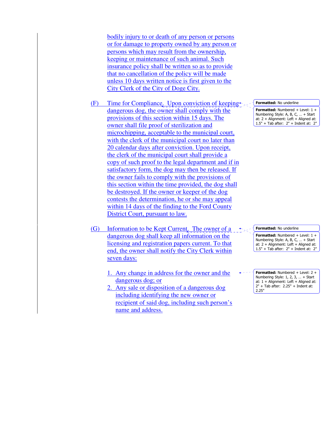bodily injury to or death of any person or persons or for damage to property owned by any person or persons which may result from the ownership, keeping or maintenance of such animal. Such insurance policy shall be written so as to provide that no cancellation of the policy will be made unless 10 days written notice is first given to the City Clerk of the City of Doge City.

- (F) Time for Compliance. Upon conviction of keeping $\leftarrow$ . dangerous dog, the owner shall comply with the provisions of this section within 15 days. The owner shall file proof of sterilization and microchipping, acceptable to the municipal court, with the clerk of the municipal court no later than 20 calendar days after conviction. Upon receipt, the clerk of the municipal court shall provide a copy of such proof to the legal department and if in satisfactory form, the dog may then be released. If the owner fails to comply with the provisions of this section within the time provided, the dog shall be destroyed. If the owner or keeper of the dog contests the determination, he or she may appeal within 14 days of the finding to the Ford County District Court, pursuant to law.
- (G) Information to be Kept Current. The owner of a dangerous dog shall keep all information on the licensing and registration papers current. To that end, the owner shall notify the City Clerk within seven days:
	- 1. Any change in address for the owner and the dangerous dog; or
	- 2. Any sale or disposition of a dangerous dog including identifying the new owner or recipient of said dog, including such person's name and address.

Formatted: No underline

Formatted: Numbered + Level: 1 + Numbering Style: A, B, C, … + Start at:  $2 +$  Alignment: Left + Aligned at: 1.5" + Tab after: 2" + Indent at: 2"

Formatted: No underline

Formatted: Numbered + Level: 1 + Numbering Style: A, B, C, … + Start at:  $2 +$  Alignment: Left + Aligned at: 1.5" + Tab after: 2" + Indent at: 2"

**Formatted:** Numbered  $+$  Level:  $2 +$ Numbering Style: 1, 2, 3, … + Start at: 1 + Alignment: Left + Aligned at: 2" + Tab after: 2.25" + Indent at: 2.25"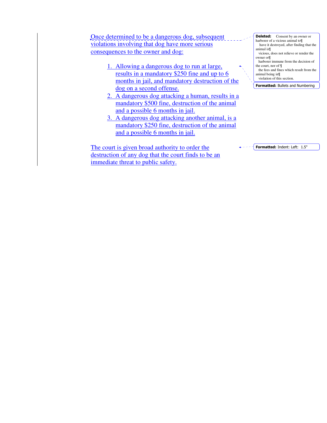Once determined to be a dangerous dog, subsequent violations involving that dog have more serious consequences to the owner and dog:

- 1. Allowing a dangerous dog to run at large, results in a mandatory \$250 fine and up to 6 months in jail, and mandatory destruction of the dog on a second offense.
- 2. A dangerous dog attacking a human, results in a mandatory \$500 fine, destruction of the animal and a possible 6 months in jail.
- 3. A dangerous dog attacking another animal, is a mandatory \$250 fine, destruction of the animal and a possible 6 months in jail.

The court is given broad authority to order the destruction of any dog that the court finds to be an immediate threat to public safety.

**Deleted:** Consent by an owner or harborer of a vicious animal to¶ have it destroyed, after finding that the animal is¶ vicious, does not relieve or render the owner or¶ harborer immune from the decision of the court, nor of ¶ the fees and fines which result from the animal being in¶ violation of this section.

Formatted: Bullets and Numbering

Formatted: Indent: Left: 1.5"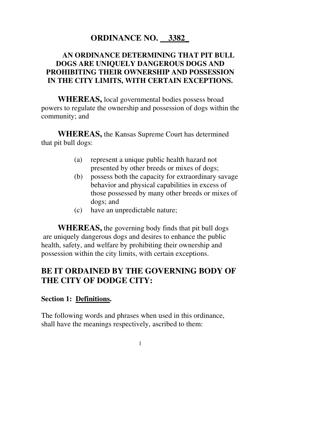# **ORDINANCE NO. 3382\_**

### **AN ORDINANCE DETERMINING THAT PIT BULL DOGS ARE UNIQUELY DANGEROUS DOGS AND PROHIBITING THEIR OWNERSHIP AND POSSESSION IN THE CITY LIMITS, WITH CERTAIN EXCEPTIONS.**

 **WHEREAS,** local governmental bodies possess broad powers to regulate the ownership and possession of dogs within the community; and

**WHEREAS,** the Kansas Supreme Court has determined that pit bull dogs:

- (a) represent a unique public health hazard not presented by other breeds or mixes of dogs;
- (b) possess both the capacity for extraordinary savage behavior and physical capabilities in excess of those possessed by many other breeds or mixes of dogs; and
- (c) have an unpredictable nature;

**WHEREAS,** the governing body finds that pit bull dogs are uniquely dangerous dogs and desires to enhance the public health, safety, and welfare by prohibiting their ownership and possession within the city limits, with certain exceptions.

## **BE IT ORDAINED BY THE GOVERNING BODY OF THE CITY OF DODGE CITY:**

#### **Section 1: Definitions.**

The following words and phrases when used in this ordinance, shall have the meanings respectively, ascribed to them: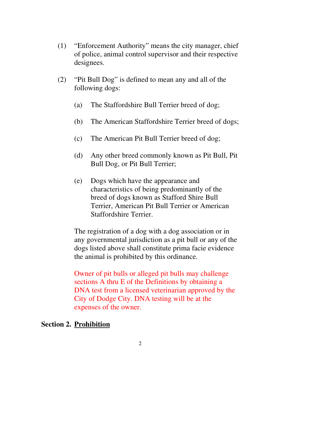- (1) "Enforcement Authority" means the city manager, chief of police, animal control supervisor and their respective designees.
- (2) "Pit Bull Dog" is defined to mean any and all of the following dogs:
	- (a) The Staffordshire Bull Terrier breed of dog;
	- (b) The American Staffordshire Terrier breed of dogs;
	- (c) The American Pit Bull Terrier breed of dog;
	- (d) Any other breed commonly known as Pit Bull, Pit Bull Dog, or Pit Bull Terrier;
	- (e) Dogs which have the appearance and characteristics of being predominantly of the breed of dogs known as Stafford Shire Bull Terrier, American Pit Bull Terrier or American Staffordshire Terrier.

The registration of a dog with a dog association or in any governmental jurisdiction as a pit bull or any of the dogs listed above shall constitute prima facie evidence the animal is prohibited by this ordinance.

Owner of pit bulls or alleged pit bulls may challenge sections A thru E of the Definitions by obtaining a DNA test from a licensed veterinarian approved by the City of Dodge City. DNA testing will be at the expenses of the owner.

#### **Section 2. Prohibition**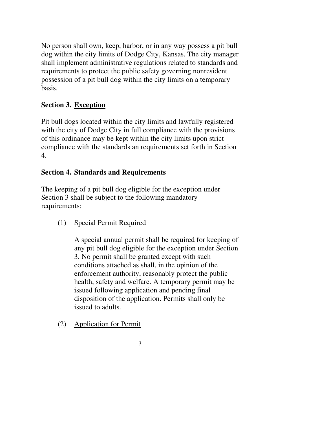No person shall own, keep, harbor, or in any way possess a pit bull dog within the city limits of Dodge City, Kansas. The city manager shall implement administrative regulations related to standards and requirements to protect the public safety governing nonresident possession of a pit bull dog within the city limits on a temporary basis.

### **Section 3. Exception**

Pit bull dogs located within the city limits and lawfully registered with the city of Dodge City in full compliance with the provisions of this ordinance may be kept within the city limits upon strict compliance with the standards an requirements set forth in Section 4.

### **Section 4. Standards and Requirements**

The keeping of a pit bull dog eligible for the exception under Section 3 shall be subject to the following mandatory requirements:

(1) Special Permit Required

A special annual permit shall be required for keeping of any pit bull dog eligible for the exception under Section 3. No permit shall be granted except with such conditions attached as shall, in the opinion of the enforcement authority, reasonably protect the public health, safety and welfare. A temporary permit may be issued following application and pending final disposition of the application. Permits shall only be issued to adults.

(2) Application for Permit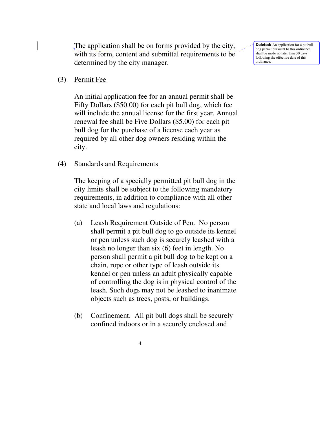The application shall be on forms provided by the city, with its form, content and submittal requirements to be determined by the city manager.

(3) Permit Fee

An initial application fee for an annual permit shall be Fifty Dollars (\$50.00) for each pit bull dog, which fee will include the annual license for the first year. Annual renewal fee shall be Five Dollars (\$5.00) for each pit bull dog for the purchase of a license each year as required by all other dog owners residing within the city.

#### (4) Standards and Requirements

The keeping of a specially permitted pit bull dog in the city limits shall be subject to the following mandatory requirements, in addition to compliance with all other state and local laws and regulations:

- (a) Leash Requirement Outside of Pen. No person shall permit a pit bull dog to go outside its kennel or pen unless such dog is securely leashed with a leash no longer than six (6) feet in length. No person shall permit a pit bull dog to be kept on a chain, rope or other type of leash outside its kennel or pen unless an adult physically capable of controlling the dog is in physical control of the leash. Such dogs may not be leashed to inanimate objects such as trees, posts, or buildings.
- (b) Confinement. All pit bull dogs shall be securely confined indoors or in a securely enclosed and

Deleted: An application for a pit bull dog permit pursuant to this ordinance shall be made no later than 30 days following the effective date of this ordinance.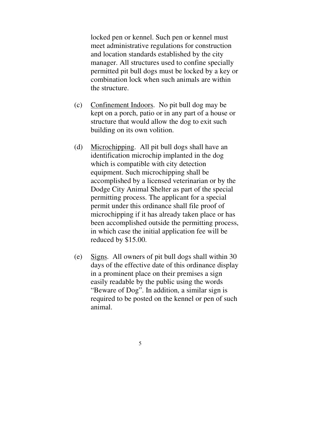locked pen or kennel. Such pen or kennel must meet administrative regulations for construction and location standards established by the city manager. All structures used to confine specially permitted pit bull dogs must be locked by a key or combination lock when such animals are within the structure.

- (c) Confinement Indoors. No pit bull dog may be kept on a porch, patio or in any part of a house or structure that would allow the dog to exit such building on its own volition.
- (d) Microchipping. All pit bull dogs shall have an identification microchip implanted in the dog which is compatible with city detection equipment. Such microchipping shall be accomplished by a licensed veterinarian or by the Dodge City Animal Shelter as part of the special permitting process. The applicant for a special permit under this ordinance shall file proof of microchipping if it has already taken place or has been accomplished outside the permitting process, in which case the initial application fee will be reduced by \$15.00.
- (e) Signs. All owners of pit bull dogs shall within 30 days of the effective date of this ordinance display in a prominent place on their premises a sign easily readable by the public using the words "Beware of Dog". In addition, a similar sign is required to be posted on the kennel or pen of such animal.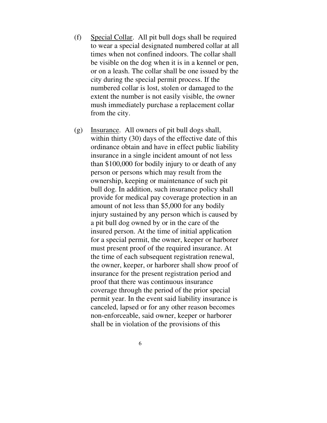- (f) Special Collar. All pit bull dogs shall be required to wear a special designated numbered collar at all times when not confined indoors. The collar shall be visible on the dog when it is in a kennel or pen, or on a leash. The collar shall be one issued by the city during the special permit process. If the numbered collar is lost, stolen or damaged to the extent the number is not easily visible, the owner mush immediately purchase a replacement collar from the city.
- (g) Insurance. All owners of pit bull dogs shall, within thirty (30) days of the effective date of this ordinance obtain and have in effect public liability insurance in a single incident amount of not less than \$100,000 for bodily injury to or death of any person or persons which may result from the ownership, keeping or maintenance of such pit bull dog. In addition, such insurance policy shall provide for medical pay coverage protection in an amount of not less than \$5,000 for any bodily injury sustained by any person which is caused by a pit bull dog owned by or in the care of the insured person. At the time of initial application for a special permit, the owner, keeper or harborer must present proof of the required insurance. At the time of each subsequent registration renewal, the owner, keeper, or harborer shall show proof of insurance for the present registration period and proof that there was continuous insurance coverage through the period of the prior special permit year. In the event said liability insurance is canceled, lapsed or for any other reason becomes non-enforceable, said owner, keeper or harborer shall be in violation of the provisions of this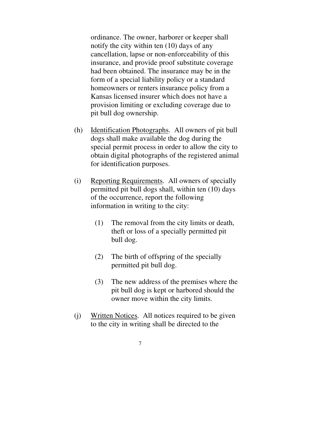ordinance. The owner, harborer or keeper shall notify the city within ten (10) days of any cancellation, lapse or non-enforceability of this insurance, and provide proof substitute coverage had been obtained. The insurance may be in the form of a special liability policy or a standard homeowners or renters insurance policy from a Kansas licensed insurer which does not have a provision limiting or excluding coverage due to pit bull dog ownership.

- (h) Identification Photographs. All owners of pit bull dogs shall make available the dog during the special permit process in order to allow the city to obtain digital photographs of the registered animal for identification purposes.
- (i) Reporting Requirements. All owners of specially permitted pit bull dogs shall, within ten (10) days of the occurrence, report the following information in writing to the city:
	- (1) The removal from the city limits or death, theft or loss of a specially permitted pit bull dog.
	- (2) The birth of offspring of the specially permitted pit bull dog.
	- (3) The new address of the premises where the pit bull dog is kept or harbored should the owner move within the city limits.
- (j) Written Notices. All notices required to be given to the city in writing shall be directed to the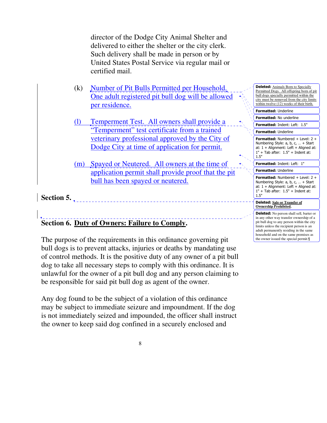director of the Dodge City Animal Shelter and delivered to either the shelter or the city clerk. Such delivery shall be made in person or by United States Postal Service via regular mail or certified mail.

- (k) Number of Pit Bulls Permitted per Household. One adult registered pit bull dog will be allowed per residence.
- (l) Temperment Test. All owners shall provide a "Temperment" test certificate from a trained veterinary professional approved by the City of Dodge City at time of application for permit.
- (m) Spayed or Neutered. All owners at the time of application permit shall provide proof that the pit bull has been spayed or neutered.

## **Section 5.**

# **Section 6. Duty of Owners: Failure to Comply.**

The purpose of the requirements in this ordinance governing pit bull dogs is to prevent attacks, injuries or deaths by mandating use of control methods. It is the positive duty of any owner of a pit bull dog to take all necessary steps to comply with this ordinance. It is unlawful for the owner of a pit bull dog and any person claiming to be responsible for said pit bull dog as agent of the owner.

Any dog found to be the subject of a violation of this ordinance may be subject to immediate seizure and impoundment. If the dog is not immediately seized and impounded, the officer shall instruct the owner to keep said dog confined in a securely enclosed and

| <b>Deleted:</b> Animals Born to Specially<br>Permitted Dogs. All offspring born of pit<br>bull dogs specially permitted within the<br>city must be removed from the city limits<br>within twelve (12) weeks of their birth. |  |
|-----------------------------------------------------------------------------------------------------------------------------------------------------------------------------------------------------------------------------|--|
| <b>Formatted: Underline</b>                                                                                                                                                                                                 |  |
| <b>Formatted:</b> No underline                                                                                                                                                                                              |  |
| <b>Formatted: Indent: Left: 1.5"</b>                                                                                                                                                                                        |  |
| <b>Formatted: Underline</b>                                                                                                                                                                                                 |  |
| <b>Formatted:</b> Numbered + Level: $2 +$<br>Numbering Style: a, b, c,  + Start<br>at: $1 +$ Alignment: Left + Aligned at:<br>$1" + Tab$ after: $1.5" + Indent$ at:<br>1.5"                                                 |  |
| 1"<br><b>Formatted: Indent: Left:</b>                                                                                                                                                                                       |  |
| <b>Formatted: Underline</b>                                                                                                                                                                                                 |  |
| <b>Formatted:</b> Numbered + Level: $2 +$<br>Numbering Style: a, b, c,  + Start<br>at: $1 +$ Alignment: Left + Aligned at:<br>$1" + Tab$ after: $1.5" + Ind$ ent at:<br>1.5"                                                |  |
| <b>Deleted:</b> Sale or Transfer of<br><b>Ownership Prohibited.</b>                                                                                                                                                         |  |
| <b>Deleted:</b> No person shall sell, barter or                                                                                                                                                                             |  |

in any other way transfer ownership of a pit bull dog to any person within the city limits unless the recipient person is an adult permanently residing in the same household and on the same premises as the owner issued the special permit.¶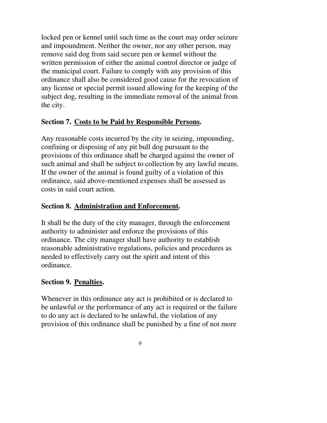locked pen or kennel until such time as the court may order seizure and impoundment. Neither the owner, nor any other person, may remove said dog from said secure pen or kennel without the written permission of either the animal control director or judge of the municipal court. Failure to comply with any provision of this ordinance shall also be considered good cause for the revocation of any license or special permit issued allowing for the keeping of the subject dog, resulting in the immediate removal of the animal from the city.

### **Section 7. Costs to be Paid by Responsible Persons.**

Any reasonable costs incurred by the city in seizing, impounding, confining or disposing of any pit bull dog pursuant to the provisions of this ordinance shall be charged against the owner of such animal and shall be subject to collection by any lawful means. If the owner of the animal is found guilty of a violation of this ordinance, said above-mentioned expenses shall be assessed as costs in said court action.

### **Section 8. Administration and Enforcement.**

It shall be the duty of the city manager, through the enforcement authority to administer and enforce the provisions of this ordinance. The city manager shall have authority to establish reasonable administrative regulations, policies and procedures as needed to effectively carry out the spirit and intent of this ordinance.

### **Section 9. Penalties.**

Whenever in this ordinance any act is prohibited or is declared to be unlawful or the performance of any act is required or the failure to do any act is declared to be unlawful, the violation of any provision of this ordinance shall be punished by a fine of not more